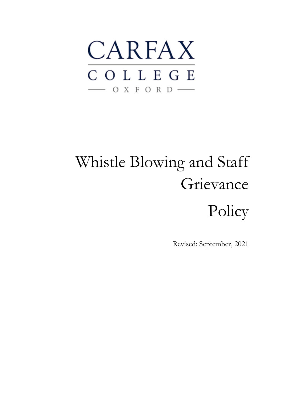

# Whistle Blowing and Staff Grievance

Policy

Revised: September, 2021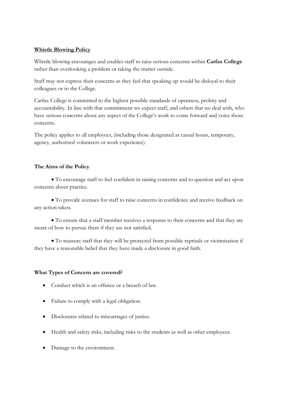## **Whistle Blowing Policy**

Whistle blowing encourages and enables staff to raise serious concerns within **Carfax College** rather than overlooking a problem or taking the matter outside.

Staff may not express their concerns as they feel that speaking up would be disloyal to their colleagues or to the College.

Carfax College is committed to the highest possible standards of openness, probity and accountability. In line with that commitment we expect staff, and others that we deal with, who have serious concerns about any aspect of the College's work to come forward and voice those concerns.

The policy applies to all employees, (including those designated as casual hours, temporary, agency, authorised volunteers or work experience).

## **The Aims of the Policy**

• To encourage staff to feel confident in raising concerns and to question and act upon concerns about practice.

• To provide avenues for staff to raise concerns in confidence and receive feedback on any action taken.

• To ensure that a staff member receives a response to their concerns and that they are aware of how to pursue them if they are not satisfied.

• To reassure staff that they will be protected from possible reprisals or victimisation if they have a reasonable belief that they have made a disclosure in good faith.

# **What Types of Concern are covered?**

- Conduct which is an offence or a breach of law.
- Failure to comply with a legal obligation.
- Disclosures related to miscarriages of justice.
- Health and safety risks, including risks to the students as well as other employees.
- Damage to the environment.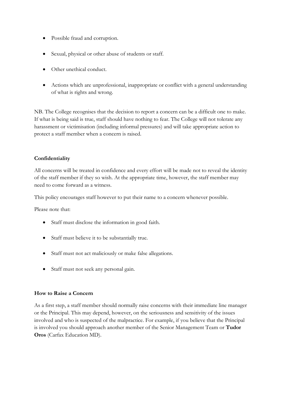- Possible fraud and corruption.
- Sexual, physical or other abuse of students or staff.
- Other unethical conduct.
- Actions which are unprofessional, inappropriate or conflict with a general understanding of what is rights and wrong.

NB. The College recognises that the decision to report a concern can be a difficult one to make. If what is being said is true, staff should have nothing to fear. The College will not tolerate any harassment or victimisation (including informal pressures) and will take appropriate action to protect a staff member when a concern is raised.

## **Confidentiality**

All concerns will be treated in confidence and every effort will be made not to reveal the identity of the staff member if they so wish. At the appropriate time, however, the staff member may need to come forward as a witness.

This policy encourages staff however to put their name to a concern whenever possible.

Please note that:

- Staff must disclose the information in good faith.
- Staff must believe it to be substantially true.
- Staff must not act maliciously or make false allegations.
- Staff must not seek any personal gain.

#### **How to Raise a Concern**

As a first step, a staff member should normally raise concerns with their immediate line manager or the Principal. This may depend, however, on the seriousness and sensitivity of the issues involved and who is suspected of the malpractice. For example, if you believe that the Principal is involved you should approach another member of the Senior Management Team or **Tudor Oros** (Carfax Education MD).